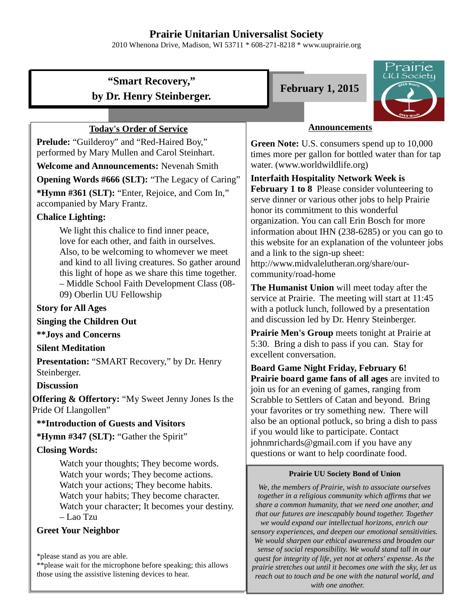# **Prairie Unitarian Universalist Society**

2010 Whenona Drive, Madison, WI 53711 \* 608-271-8218 \* www.uuprairie.org

# **"Smart Recovery," by Dr. Henry Steinberger.**

## **Today's Order of Service**

**Prelude:** "Guilderoy" and "Red-Haired Boy," performed by Mary Mullen and Carol Steinhart.

**Welcome and Announcements:** Nevenah Smith

**Opening Words #666 (SLT):** "The Legacy of Caring"

**\*Hymn #361 (SLT):** "Enter, Rejoice, and Com In," accompanied by Mary Frantz.

# **Chalice Lighting:**

We light this chalice to find inner peace, love for each other, and faith in ourselves. Also, to be welcoming to whomever we meet and kind to all living creatures. So gather around this light of hope as we share this time together. – Middle School Faith Development Class (08- 09) Oberlin UU Fellowship

#### **Story for All Ages**

#### **Singing the Children Out**

**\*\*Joys and Concerns**

#### **Silent Meditation**

**Presentation:** "SMART Recovery," by Dr. Henry Steinberger.

#### **Discussion**

**Offering & Offertory:** "My Sweet Jenny Jones Is the Pride Of Llangollen"

#### **\*\*Introduction of Guests and Visitors**

**\*Hymn #347 (SLT):** "Gather the Spirit"

# **Closing Words:**

Watch your thoughts; They become words. Watch your words; They become actions. Watch your actions; They become habits. Watch your habits; They become character. Watch your character; It becomes your destiny. – Lao Tzu

#### **Greet Your Neighbor**

\*please stand as you are able.

\*\*please wait for the microphone before speaking; this allows those using the assistive listening devices to hear.





## **Announcements**

**Green Note:** U.S. consumers spend up to 10,000 times more per gallon for bottled water than for tap water. (www.worldwildlife.org)

**Interfaith Hospitality Network Week is February 1 to 8** Please consider volunteering to serve dinner or various other jobs to help Prairie honor its commitment to this wonderful organization. You can call Erin Bosch for more information about IHN (238-6285) or you can go to this website for an explanation of the volunteer jobs and a link to the sign-up sheet: http://www.midvalelutheran.org/share/ourcommunity/road-home

**The Humanist Union** will meet today after the service at Prairie. The meeting will start at 11:45 with a potluck lunch, followed by a presentation and discussion led by Dr. Henry Steinberger.

**Prairie Men's Group** meets tonight at Prairie at 5:30. Bring a dish to pass if you can. Stay for excellent conversation.

**Board Game Night Friday, February 6! Prairie board game fans of all ages** are invited to join us for an evening of games, ranging from Scrabble to Settlers of Catan and beyond. Bring your favorites or try something new. There will also be an optional potluck, so bring a dish to pass if you would like to participate. Contact johnmrichards@gmail.com if you have any questions or want to help coordinate food.

#### **Prairie UU Society Bond of Union**

*We, the members of Prairie, wish to associate ourselves together in a religious community which affirms that we share a common humanity, that we need one another, and that our futures are inescapably bound together. Together we would expand our intellectual horizons, enrich our sensory experiences, and deepen our emotional sensitivities. We would sharpen our ethical awareness and broaden our sense of social responsibility. We would stand tall in our quest for integrity of life, yet not at others' expense. As the prairie stretches out until it becomes one with the sky, let us reach out to touch and be one with the natural world, and with one another.*